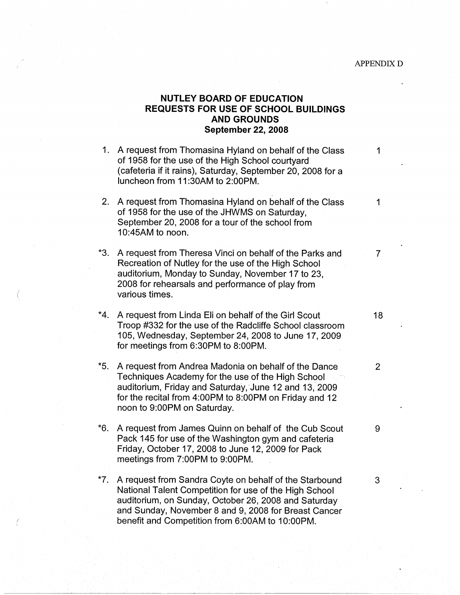## **NUTLEY BOARD OF EDUCATION REQUESTS FOR USE OF SCHOOL BUILDINGS AND GROUNDS September 22, 2008**

- 1. A request from Thomasina Hyland on behalf of the Class 1 of 1958 for the use of the High School courtyard (cafeteria if it rains), Saturday, September 20, 2008 for a luncheon from 11 :30AM to 2:00PM.
- 2. A request from Thomasina Hyland on behalf of the Class 1 of 1958 for the use of the JHWMS on Saturday, September 20, 2008 for a tour of the school from 10:45AM to noon.
- \*3. A request from Theresa Vinci on behalf of the Parks and 7 Recreation of Nutley for the use of the High School auditorium, Monday to Sunday, November 17 to 23, 2008 for rehearsals and performance of play from various times.
- \*4. A request from Linda Eli on behalf of the Girl Scout 18 Troop #332 for the use of the Radcliffe School classroom 105, Wednesday, September 24, 2008 to June 17, 2009 for meetings from 6:30PM to 8:00PM.
- \*5. A request from Andrea Madonia on behalf of the Dance  $\qquad \qquad$  2 Techniques Academy for the use of the High School auditorium, Friday and Saturday, June 12 and 13, 2009 for the recital from 4:00PM to 8:00PM on Friday and 12 noon to 9:00PM on Saturday.
- \*6. A request from James Quinn on behalf of the Cub Scout 9 Pack 145 for use of the Washington gym and cafeteria Friday, October 17, 2008 to June 12, 2009 for Pack meetings from 7:00PM to 9:00PM.
- \*7. A request from Sandra Coyte on behalf of the Starbound 3 National Talent Competition for use of the High School auditorium, on Sunday, October 26, 2008 and Saturday and Sunday, November 8 and 9, 2008 for Breast Cancer benefit and Competition from 6:00AM to 10:00PM.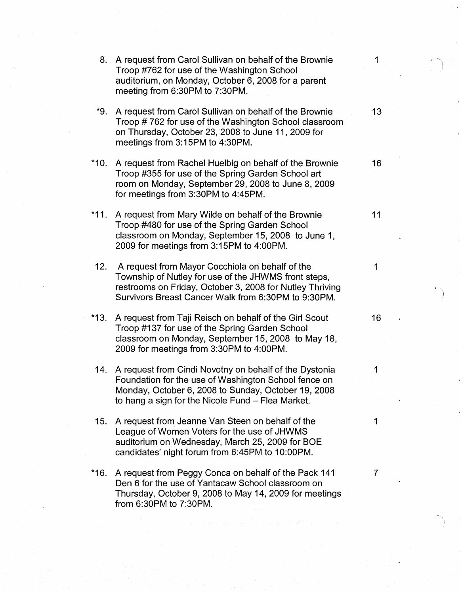| 8.     | A request from Carol Sullivan on behalf of the Brownie<br>Troop #762 for use of the Washington School<br>auditorium, on Monday, October 6, 2008 for a parent<br>meeting from 6:30PM to 7:30PM.                                 | $\mathbf{1}$ |  |
|--------|--------------------------------------------------------------------------------------------------------------------------------------------------------------------------------------------------------------------------------|--------------|--|
| *9.    | A request from Carol Sullivan on behalf of the Brownie<br>Troop #762 for use of the Washington School classroom<br>on Thursday, October 23, 2008 to June 11, 2009 for<br>meetings from 3:15PM to 4:30PM.                       | 13           |  |
| $*10.$ | A request from Rachel Huelbig on behalf of the Brownie<br>Troop #355 for use of the Spring Garden School art<br>room on Monday, September 29, 2008 to June 8, 2009<br>for meetings from 3:30PM to 4:45PM.                      | 16           |  |
| $*11.$ | A request from Mary Wilde on behalf of the Brownie<br>Troop #480 for use of the Spring Garden School<br>classroom on Monday, September 15, 2008 to June 1,<br>2009 for meetings from 3:15PM to 4:00PM.                         | 11           |  |
| 12.    | A request from Mayor Cocchiola on behalf of the<br>Township of Nutley for use of the JHWMS front steps,<br>restrooms on Friday, October 3, 2008 for Nutley Thriving<br>Survivors Breast Cancer Walk from 6:30PM to 9:30PM.     | 1            |  |
| *13.   | A request from Taji Reisch on behalf of the Girl Scout<br>Troop #137 for use of the Spring Garden School<br>classroom on Monday, September 15, 2008 to May 18,<br>2009 for meetings from 3:30PM to 4:00PM.                     | 16           |  |
|        | 14. A request from Cindi Novotny on behalf of the Dystonia<br>Foundation for the use of Washington School fence on<br>Monday, October 6, 2008 to Sunday, October 19, 2008<br>to hang a sign for the Nicole Fund - Flea Market. | 1            |  |
| 15.    | A request from Jeanne Van Steen on behalf of the<br>League of Women Voters for the use of JHWMS<br>auditorium on Wednesday, March 25, 2009 for BOE<br>candidates' night forum from 6:45PM to 10:00PM.                          | 1            |  |
| *16.   | A request from Peggy Conca on behalf of the Pack 141<br>Den 6 for the use of Yantacaw School classroom on<br>Thursday, October 9, 2008 to May 14, 2009 for meetings<br>from 6:30PM to 7:30PM.                                  | 7            |  |

~ I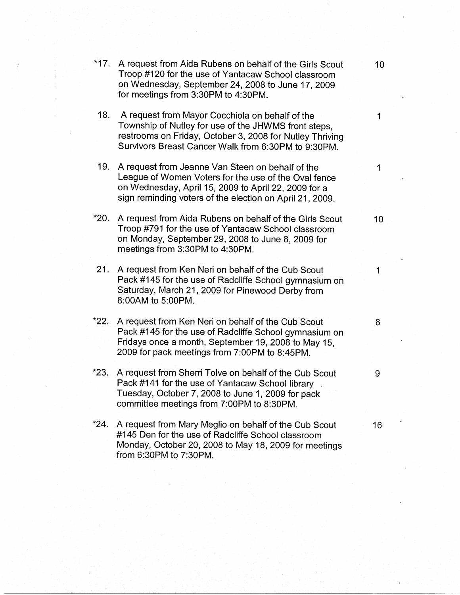| $*17.$ | A request from Aida Rubens on behalf of the Girls Scout<br>Troop #120 for the use of Yantacaw School classroom<br>on Wednesday, September 24, 2008 to June 17, 2009<br>for meetings from 3:30PM to 4:30PM.                   | 10 <sub>1</sub> |
|--------|------------------------------------------------------------------------------------------------------------------------------------------------------------------------------------------------------------------------------|-----------------|
| 18.    | A request from Mayor Cocchiola on behalf of the<br>Township of Nutley for use of the JHWMS front steps,<br>restrooms on Friday, October 3, 2008 for Nutley Thriving<br>Survivors Breast Cancer Walk from 6:30PM to 9:30PM.   | 1               |
| 19.    | A request from Jeanne Van Steen on behalf of the<br>League of Women Voters for the use of the Oval fence<br>on Wednesday, April 15, 2009 to April 22, 2009 for a<br>sign reminding voters of the election on April 21, 2009. | 1               |
| *20.   | A request from Aida Rubens on behalf of the Girls Scout<br>Troop #791 for the use of Yantacaw School classroom<br>on Monday, September 29, 2008 to June 8, 2009 for<br>meetings from 3:30PM to 4:30PM.                       | 10              |
| 21.    | A request from Ken Neri on behalf of the Cub Scout<br>Pack #145 for the use of Radcliffe School gymnasium on<br>Saturday, March 21, 2009 for Pinewood Derby from<br>8:00AM to 5:00PM.                                        | 1               |
| *22.   | A request from Ken Neri on behalf of the Cub Scout<br>Pack #145 for the use of Radcliffe School gymnasium on<br>Fridays once a month, September 19, 2008 to May 15,<br>2009 for pack meetings from 7:00PM to 8:45PM.         | 8               |
| $*23.$ | A request from Sherri Tolve on behalf of the Cub Scout<br>Pack #141 for the use of Yantacaw School library<br>Tuesday, October 7, 2008 to June 1, 2009 for pack<br>committee meetings from 7:00PM to 8:30PM.                 | 9               |
| $*24.$ | A request from Mary Meglio on behalf of the Cub Scout<br>#145 Den for the use of Radcliffe School classroom<br>Monday, October 20, 2008 to May 18, 2009 for meetings                                                         | 16              |

from 6:30PM to 7:30PM.